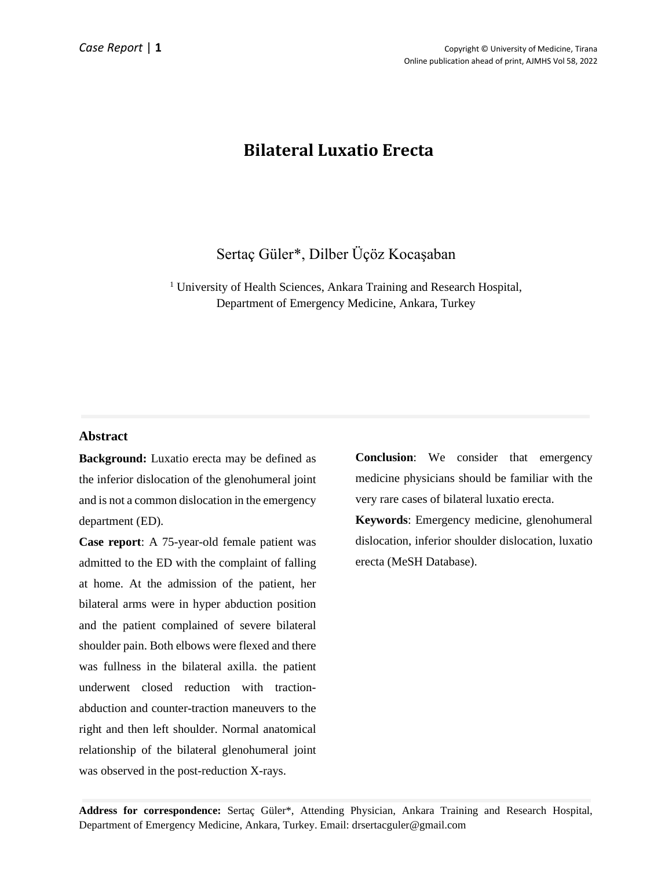# **Bilateral Luxatio Erecta**

# Sertaç Güler\*, Dilber Üçöz Kocaşaban

<sup>1</sup> University of Health Sciences, Ankara Training and Research Hospital, Department of Emergency Medicine, Ankara, Turkey

# **Abstract**

**Background:** Luxatio erecta may be defined as the inferior dislocation of the glenohumeral joint and is not a common dislocation in the emergency department (ED).

**Case report**: A 75-year-old female patient was admitted to the ED with the complaint of falling at home. At the admission of the patient, her bilateral arms were in hyper abduction position and the patient complained of severe bilateral shoulder pain. Both elbows were flexed and there was fullness in the bilateral axilla. the patient underwent closed reduction with tractionabduction and counter-traction maneuvers to the right and then left shoulder. Normal anatomical relationship of the bilateral glenohumeral joint was observed in the post-reduction X-rays.

**Conclusion**: We consider that emergency medicine physicians should be familiar with the very rare cases of bilateral luxatio erecta.

**Keywords**: Emergency medicine, glenohumeral dislocation, inferior shoulder dislocation, luxatio erecta (MeSH Database).

**Address for correspondence:** Sertaç Güler\*, Attending Physician, Ankara Training and Research Hospital, Department of Emergency Medicine, Ankara, Turkey. Email: drsertacguler@gmail.com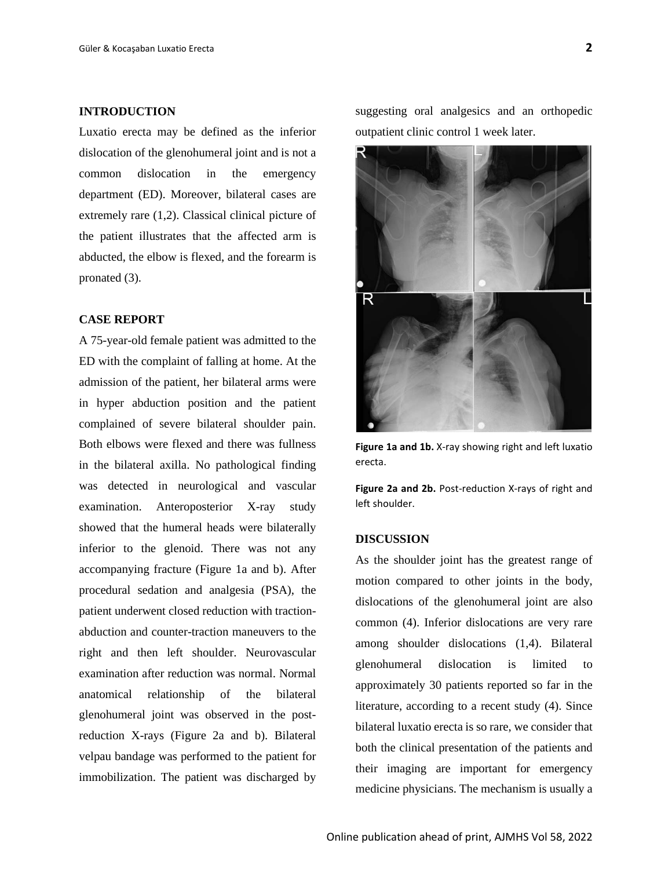#### **INTRODUCTION**

Luxatio erecta may be defined as the inferior dislocation of the glenohumeral joint and is not a common dislocation in the emergency department (ED). Moreover, bilateral cases are extremely rare (1,2). Classical clinical picture of the patient illustrates that the affected arm is abducted, the elbow is flexed, and the forearm is pronated (3).

## **CASE REPORT**

A 75-year-old female patient was admitted to the ED with the complaint of falling at home. At the admission of the patient, her bilateral arms were in hyper abduction position and the patient complained of severe bilateral shoulder pain. Both elbows were flexed and there was fullness in the bilateral axilla. No pathological finding was detected in neurological and vascular examination. Anteroposterior X-ray study showed that the humeral heads were bilaterally inferior to the glenoid. There was not any accompanying fracture (Figure 1a and b). After procedural sedation and analgesia (PSA), the patient underwent closed reduction with tractionabduction and counter-traction maneuvers to the right and then left shoulder. Neurovascular examination after reduction was normal. Normal anatomical relationship of the bilateral glenohumeral joint was observed in the postreduction X-rays (Figure 2a and b). Bilateral velpau bandage was performed to the patient for immobilization. The patient was discharged by

suggesting oral analgesics and an orthopedic outpatient clinic control 1 week later.



**Figure 1a and 1b.** X-ray showing right and left luxatio erecta.

**Figure 2a and 2b.** Post-reduction X-rays of right and left shoulder.

#### **DISCUSSION**

As the shoulder joint has the greatest range of motion compared to other joints in the body, dislocations of the glenohumeral joint are also common (4). Inferior dislocations are very rare among shoulder dislocations (1,4). Bilateral glenohumeral dislocation is limited to approximately 30 patients reported so far in the literature, according to a recent study (4). Since bilateral luxatio erecta is so rare, we consider that both the clinical presentation of the patients and their imaging are important for emergency medicine physicians. The mechanism is usually a